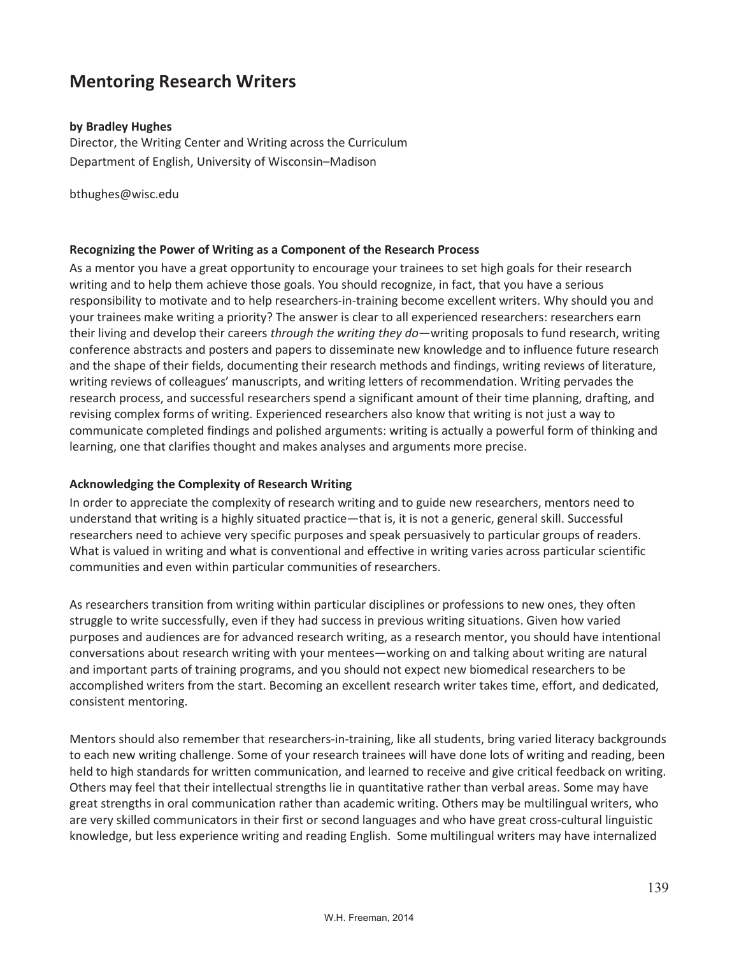# **Mentoring Research Writers**

#### **by Bradley Hughes**

Director, the Writing Center and Writing across the Curriculum Department of English, University of Wisconsin–Madison

bthughes@wisc.edu

#### **Recognizing the Power of Writing as a Component of the Research Process**

As a mentor you have a great opportunity to encourage your trainees to set high goals for their research writing and to help them achieve those goals. You should recognize, in fact, that you have a serious responsibility to motivate and to help researchers-in-training become excellent writers. Why should you and your trainees make writing a priority? The answer is clear to all experienced researchers: researchers earn their living and develop their careers *through the writing they do*—writing proposals to fund research, writing conference abstracts and posters and papers to disseminate new knowledge and to influence future research and the shape of their fields, documenting their research methods and findings, writing reviews of literature, writing reviews of colleagues' manuscripts, and writing letters of recommendation. Writing pervades the research process, and successful researchers spend a significant amount of their time planning, drafting, and revising complex forms of writing. Experienced researchers also know that writing is not just a way to communicate completed findings and polished arguments: writing is actually a powerful form of thinking and learning, one that clarifies thought and makes analyses and arguments more precise.

#### **Acknowledging the Complexity of Research Writing**

In order to appreciate the complexity of research writing and to guide new researchers, mentors need to understand that writing is a highly situated practice—that is, it is not a generic, general skill. Successful researchers need to achieve very specific purposes and speak persuasively to particular groups of readers. What is valued in writing and what is conventional and effective in writing varies across particular scientific communities and even within particular communities of researchers.

As researchers transition from writing within particular disciplines or professions to new ones, they often struggle to write successfully, even if they had success in previous writing situations. Given how varied purposes and audiences are for advanced research writing, as a research mentor, you should have intentional conversations about research writing with your mentees—working on and talking about writing are natural and important parts of training programs, and you should not expect new biomedical researchers to be accomplished writers from the start. Becoming an excellent research writer takes time, effort, and dedicated, consistent mentoring.

Mentors should also remember that researchers-in-training, like all students, bring varied literacy backgrounds to each new writing challenge. Some of your research trainees will have done lots of writing and reading, been held to high standards for written communication, and learned to receive and give critical feedback on writing. Others may feel that their intellectual strengths lie in quantitative rather than verbal areas. Some may have great strengths in oral communication rather than academic writing. Others may be multilingual writers, who are very skilled communicators in their first or second languages and who have great cross-cultural linguistic knowledge, but less experience writing and reading English. Some multilingual writers may have internalized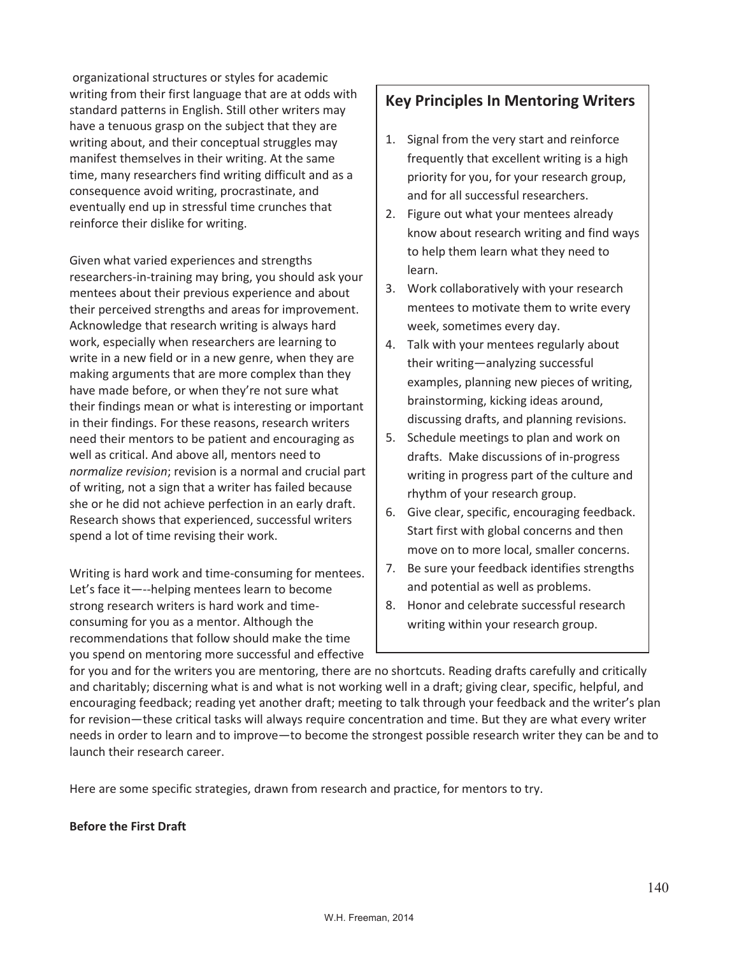organizational structures or styles for academic writing from their first language that are at odds with standard patterns in English. Still other writers may have a tenuous grasp on the subject that they are writing about, and their conceptual struggles may manifest themselves in their writing. At the same time, many researchers find writing difficult and as a consequence avoid writing, procrastinate, and eventually end up in stressful time crunches that reinforce their dislike for writing.

Given what varied experiences and strengths researchers-in-training may bring, you should ask your mentees about their previous experience and about their perceived strengths and areas for improvement. Acknowledge that research writing is always hard work, especially when researchers are learning to write in a new field or in a new genre, when they are making arguments that are more complex than they have made before, or when they're not sure what their findings mean or what is interesting or important in their findings. For these reasons, research writers need their mentors to be patient and encouraging as well as critical. And above all, mentors need to *normalize revision*; revision is a normal and crucial part of writing, not a sign that a writer has failed because she or he did not achieve perfection in an early draft. Research shows that experienced, successful writers spend a lot of time revising their work.

Writing is hard work and time-consuming for mentees. Let's face it—--helping mentees learn to become strong research writers is hard work and timeconsuming for you as a mentor. Although the recommendations that follow should make the time you spend on mentoring more successful and effective

# **Key Principles In Mentoring Writers**

- 1. Signal from the very start and reinforce frequently that excellent writing is a high priority for you, for your research group, and for all successful researchers.
- 2. Figure out what your mentees already know about research writing and find ways to help them learn what they need to learn.
- 3. Work collaboratively with your research mentees to motivate them to write every week, sometimes every day.
- 4. Talk with your mentees regularly about their writing—analyzing successful examples, planning new pieces of writing, brainstorming, kicking ideas around, discussing drafts, and planning revisions.
- 5. Schedule meetings to plan and work on drafts. Make discussions of in-progress writing in progress part of the culture and rhythm of your research group.
- 6. Give clear, specific, encouraging feedback. Start first with global concerns and then move on to more local, smaller concerns.
- 7. Be sure your feedback identifies strengths and potential as well as problems.
- 8. Honor and celebrate successful research writing within your research group.

for you and for the writers you are mentoring, there are no shortcuts. Reading drafts carefully and critically and charitably; discerning what is and what is not working well in a draft; giving clear, specific, helpful, and encouraging feedback; reading yet another draft; meeting to talk through your feedback and the writer's plan for revision—these critical tasks will always require concentration and time. But they are what every writer needs in order to learn and to improve—to become the strongest possible research writer they can be and to launch their research career.

Here are some specific strategies, drawn from research and practice, for mentors to try.

## **Before the First Draft**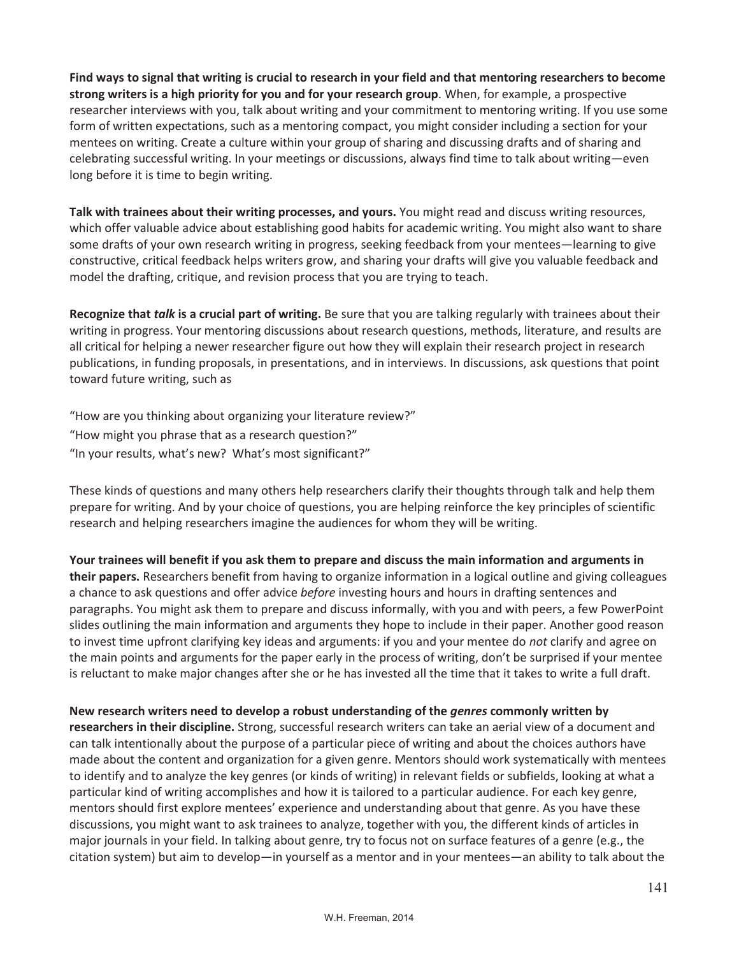**Find ways to signal that writing is crucial to research in your field and that mentoring researchers to become strong writers is a high priority for you and for your research group**. When, for example, a prospective researcher interviews with you, talk about writing and your commitment to mentoring writing. If you use some form of written expectations, such as a mentoring compact, you might consider including a section for your mentees on writing. Create a culture within your group of sharing and discussing drafts and of sharing and celebrating successful writing. In your meetings or discussions, always find time to talk about writing—even long before it is time to begin writing.

**Talk with trainees about their writing processes, and yours.** You might read and discuss writing resources, which offer valuable advice about establishing good habits for academic writing. You might also want to share some drafts of your own research writing in progress, seeking feedback from your mentees—learning to give constructive, critical feedback helps writers grow, and sharing your drafts will give you valuable feedback and model the drafting, critique, and revision process that you are trying to teach.

**Recognize that** *talk* **is a crucial part of writing.** Be sure that you are talking regularly with trainees about their writing in progress. Your mentoring discussions about research questions, methods, literature, and results are all critical for helping a newer researcher figure out how they will explain their research project in research publications, in funding proposals, in presentations, and in interviews. In discussions, ask questions that point toward future writing, such as

"How are you thinking about organizing your literature review?" "How might you phrase that as a research question?" "In your results, what's new? What's most significant?"

These kinds of questions and many others help researchers clarify their thoughts through talk and help them prepare for writing. And by your choice of questions, you are helping reinforce the key principles of scientific research and helping researchers imagine the audiences for whom they will be writing.

**Your trainees will benefit if you ask them to prepare and discuss the main information and arguments in their papers.** Researchers benefit from having to organize information in a logical outline and giving colleagues a chance to ask questions and offer advice *before* investing hours and hours in drafting sentences and paragraphs. You might ask them to prepare and discuss informally, with you and with peers, a few PowerPoint slides outlining the main information and arguments they hope to include in their paper. Another good reason to invest time upfront clarifying key ideas and arguments: if you and your mentee do *not* clarify and agree on the main points and arguments for the paper early in the process of writing, don't be surprised if your mentee is reluctant to make major changes after she or he has invested all the time that it takes to write a full draft.

**New research writers need to develop a robust understanding of the** *genres* **commonly written by researchers in their discipline.** Strong, successful research writers can take an aerial view of a document and can talk intentionally about the purpose of a particular piece of writing and about the choices authors have made about the content and organization for a given genre. Mentors should work systematically with mentees to identify and to analyze the key genres (or kinds of writing) in relevant fields or subfields, looking at what a particular kind of writing accomplishes and how it is tailored to a particular audience. For each key genre, mentors should first explore mentees' experience and understanding about that genre. As you have these discussions, you might want to ask trainees to analyze, together with you, the different kinds of articles in major journals in your field. In talking about genre, try to focus not on surface features of a genre (e.g., the citation system) but aim to develop—in yourself as a mentor and in your mentees—an ability to talk about the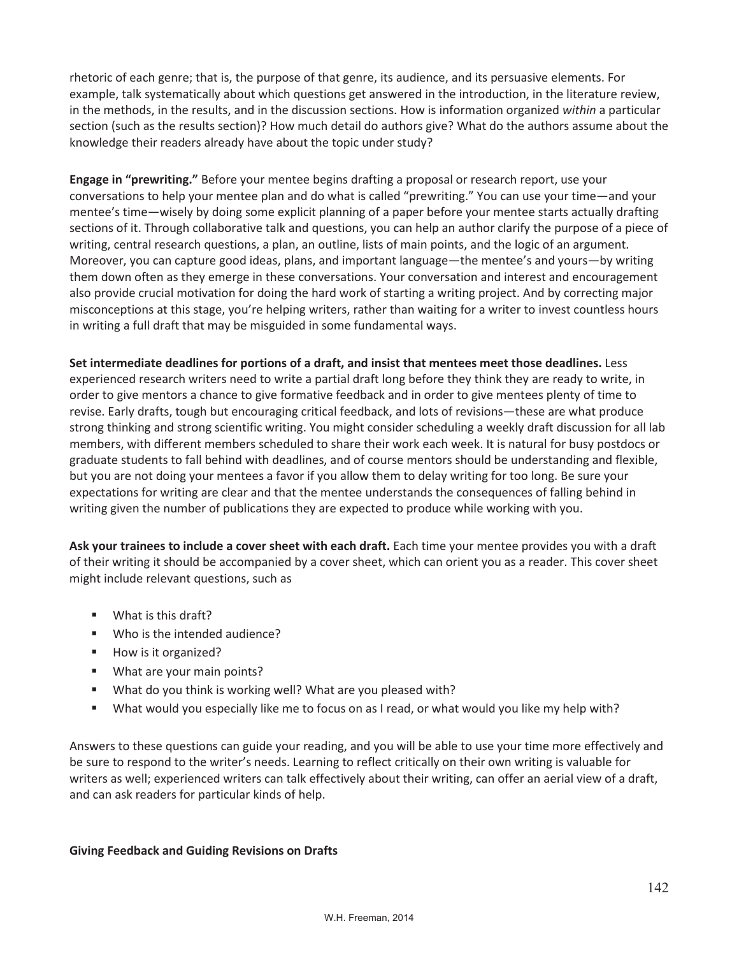rhetoric of each genre; that is, the purpose of that genre, its audience, and its persuasive elements. For example, talk systematically about which questions get answered in the introduction, in the literature review, in the methods, in the results, and in the discussion sections. How is information organized *within* a particular section (such as the results section)? How much detail do authors give? What do the authors assume about the knowledge their readers already have about the topic under study?

**Engage in "prewriting."** Before your mentee begins drafting a proposal or research report, use your conversations to help your mentee plan and do what is called "prewriting." You can use your time—and your mentee's time—wisely by doing some explicit planning of a paper before your mentee starts actually drafting sections of it. Through collaborative talk and questions, you can help an author clarify the purpose of a piece of writing, central research questions, a plan, an outline, lists of main points, and the logic of an argument. Moreover, you can capture good ideas, plans, and important language—the mentee's and yours—by writing them down often as they emerge in these conversations. Your conversation and interest and encouragement also provide crucial motivation for doing the hard work of starting a writing project. And by correcting major misconceptions at this stage, you're helping writers, rather than waiting for a writer to invest countless hours in writing a full draft that may be misguided in some fundamental ways.

**Set intermediate deadlines for portions of a draft, and insist that mentees meet those deadlines.** Less experienced research writers need to write a partial draft long before they think they are ready to write, in order to give mentors a chance to give formative feedback and in order to give mentees plenty of time to revise. Early drafts, tough but encouraging critical feedback, and lots of revisions—these are what produce strong thinking and strong scientific writing. You might consider scheduling a weekly draft discussion for all lab members, with different members scheduled to share their work each week. It is natural for busy postdocs or graduate students to fall behind with deadlines, and of course mentors should be understanding and flexible, but you are not doing your mentees a favor if you allow them to delay writing for too long. Be sure your expectations for writing are clear and that the mentee understands the consequences of falling behind in writing given the number of publications they are expected to produce while working with you.

**Ask your trainees to include a cover sheet with each draft.** Each time your mentee provides you with a draft of their writing it should be accompanied by a cover sheet, which can orient you as a reader. This cover sheet might include relevant questions, such as

- What is this draft?
- Who is the intended audience?
- How is it organized?
- **What are your main points?**
- What do you think is working well? What are you pleased with?
- What would you especially like me to focus on as I read, or what would you like my help with?

Answers to these questions can guide your reading, and you will be able to use your time more effectively and be sure to respond to the writer's needs. Learning to reflect critically on their own writing is valuable for writers as well; experienced writers can talk effectively about their writing, can offer an aerial view of a draft, and can ask readers for particular kinds of help.

### **Giving Feedback and Guiding Revisions on Drafts**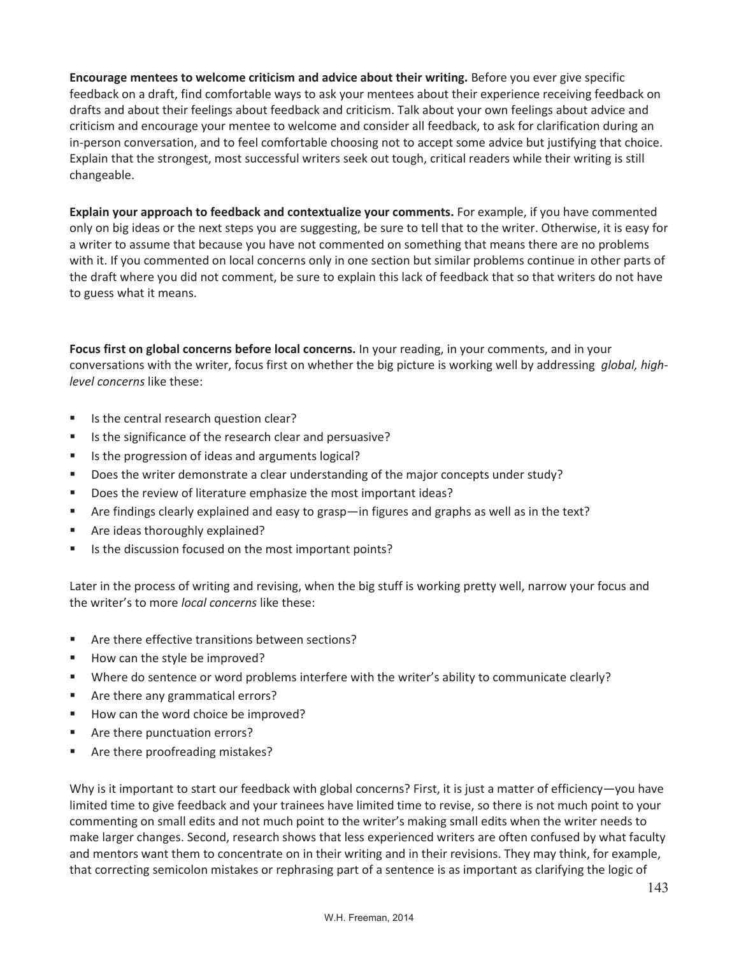**Encourage mentees to welcome criticism and advice about their writing.** Before you ever give specific feedback on a draft, find comfortable ways to ask your mentees about their experience receiving feedback on drafts and about their feelings about feedback and criticism. Talk about your own feelings about advice and criticism and encourage your mentee to welcome and consider all feedback, to ask for clarification during an in-person conversation, and to feel comfortable choosing not to accept some advice but justifying that choice. Explain that the strongest, most successful writers seek out tough, critical readers while their writing is still changeable.

**Explain your approach to feedback and contextualize your comments.** For example, if you have commented only on big ideas or the next steps you are suggesting, be sure to tell that to the writer. Otherwise, it is easy for a writer to assume that because you have not commented on something that means there are no problems with it. If you commented on local concerns only in one section but similar problems continue in other parts of the draft where you did not comment, be sure to explain this lack of feedback that so that writers do not have to guess what it means.

**Focus first on global concerns before local concerns.** In your reading, in your comments, and in your conversations with the writer, focus first on whether the big picture is working well by addressing *global, highlevel concerns* like these:

- **If** Is the central research question clear?
- Is the significance of the research clear and persuasive?
- Is the progression of ideas and arguments logical?
- Does the writer demonstrate a clear understanding of the major concepts under study?
- Does the review of literature emphasize the most important ideas?
- Are findings clearly explained and easy to grasp—in figures and graphs as well as in the text?
- **Are ideas thoroughly explained?**
- Is the discussion focused on the most important points?

Later in the process of writing and revising, when the big stuff is working pretty well, narrow your focus and the writer's to more *local concerns* like these:

- Are there effective transitions between sections?
- How can the style be improved?
- Where do sentence or word problems interfere with the writer's ability to communicate clearly?
- Are there any grammatical errors?
- How can the word choice be improved?
- Are there punctuation errors?
- Are there proofreading mistakes?

Why is it important to start our feedback with global concerns? First, it is just a matter of efficiency—you have limited time to give feedback and your trainees have limited time to revise, so there is not much point to your commenting on small edits and not much point to the writer's making small edits when the writer needs to make larger changes. Second, research shows that less experienced writers are often confused by what faculty and mentors want them to concentrate on in their writing and in their revisions. They may think, for example, that correcting semicolon mistakes or rephrasing part of a sentence is as important as clarifying the logic of